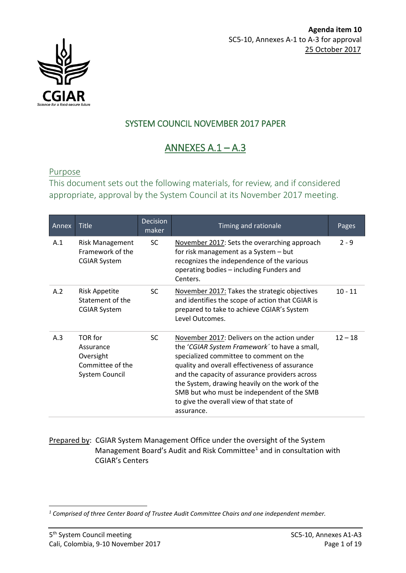

# SYSTEM COUNCIL NOVEMBER 2017 PAPER

# ANNEXES  $A.1 - A.3$

#### Purpose

This document sets out the following materials, for review, and if considered appropriate, approval by the System Council at its November 2017 meeting.

| Annex | <b>Title</b>                                                                   | <b>Decision</b><br>maker | Timing and rationale                                                                                                                                                                                                                                                                                                                                                                                   | Pages     |
|-------|--------------------------------------------------------------------------------|--------------------------|--------------------------------------------------------------------------------------------------------------------------------------------------------------------------------------------------------------------------------------------------------------------------------------------------------------------------------------------------------------------------------------------------------|-----------|
| A.1   | <b>Risk Management</b><br>Framework of the<br><b>CGIAR System</b>              | <b>SC</b>                | November 2017: Sets the overarching approach<br>for risk management as a System - but<br>recognizes the independence of the various<br>operating bodies - including Funders and<br>Centers.                                                                                                                                                                                                            | $2 - 9$   |
| A.2   | <b>Risk Appetite</b><br>Statement of the<br><b>CGIAR System</b>                | SC.                      | November 2017: Takes the strategic objectives<br>and identifies the scope of action that CGIAR is<br>prepared to take to achieve CGIAR's System<br>Level Outcomes.                                                                                                                                                                                                                                     | $10 - 11$ |
| A.3   | TOR for<br>Assurance<br>Oversight<br>Committee of the<br><b>System Council</b> | SC.                      | November 2017: Delivers on the action under<br>the 'CGIAR System Framework' to have a small,<br>specialized committee to comment on the<br>quality and overall effectiveness of assurance<br>and the capacity of assurance providers across<br>the System, drawing heavily on the work of the<br>SMB but who must be independent of the SMB<br>to give the overall view of that state of<br>assurance. | $12 - 18$ |

#### Prepared by: CGIAR System Management Office under the oversight of the System Management Board's Audit and Risk Committee[1](#page-0-0) and in consultation with CGIAR's Centers

<span id="page-0-0"></span> $\overline{a}$ *<sup>1</sup> Comprised of three Center Board of Trustee Audit Committee Chairs and one independent member.*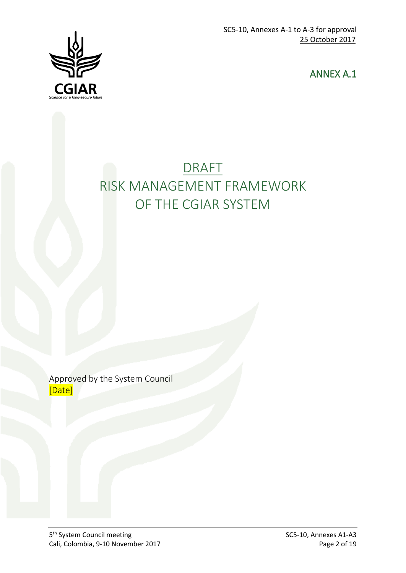

ANNEX A.1

# DRAFT RISK MANAGEMENT FRAMEWORK OF THE CGIAR SYSTEM

Approved by the System Council [Date]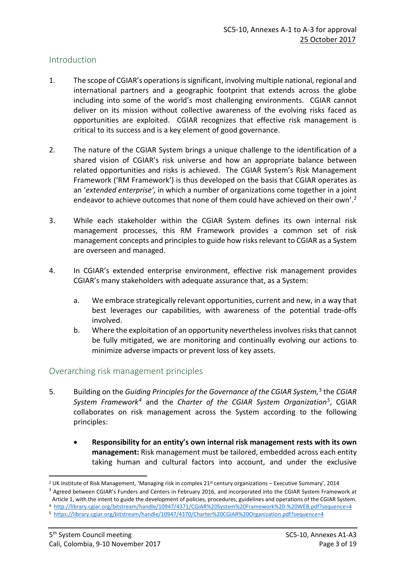#### **Introduction**

- 1. The scope of CGIAR's operations is significant, involving multiple national, regional and international partners and a geographic footprint that extends across the globe including into some of the world's most challenging environments. CGIAR cannot deliver on its mission without collective awareness of the evolving risks faced as opportunities are exploited. CGIAR recognizes that effective risk management is critical to its success and is a key element of good governance.
- 2. The nature of the CGIAR System brings a unique challenge to the identification of a shared vision of CGIAR's risk universe and how an appropriate balance between related opportunities and risks is achieved. The CGIAR System's Risk Management Framework ('RM Framework') is thus developed on the basis that CGIAR operates as an '*extended enterprise',* in which a number of organizations come together in a joint endeavor to achieve outcomes that none of them could have achieved on their own'.<sup>2</sup>
- 3. While each stakeholder within the CGIAR System defines its own internal risk management processes, this RM Framework provides a common set of risk management concepts and principles to guide how risks relevant to CGIAR as a System are overseen and managed.
- 4. In CGIAR's extended enterprise environment, effective risk management provides CGIAR's many stakeholders with adequate assurance that, as a System:
	- a. We embrace strategically relevant opportunities, current and new, in a way that best leverages our capabilities, with awareness of the potential trade-offs involved.
	- b. Where the exploitation of an opportunity nevertheless involves risks that cannot be fully mitigated, we are monitoring and continually evolving our actions to minimize adverse impacts or prevent loss of key assets.

#### Overarching risk management principles

- 5. Building on the *Guiding Principles for the Governance of the CGIAR System,* [3](#page-2-1) the *CGIAR System Framework[4](#page-2-2)* and the *Charter of the CGIAR System Organization[5](#page-2-3)*, CGIAR collaborates on risk management across the System according to the following principles:
	- **Responsibility for an entity's own internal risk management rests with its own management:** Risk management must be tailored, embedded across each entity taking human and cultural factors into account, and under the exclusive

<span id="page-2-0"></span><sup>&</sup>lt;sup>2</sup> UK Institute of Risk Management, 'Managing risk in complex 21<sup>st</sup> century organizations – Executive Summary', 2014

<span id="page-2-1"></span><sup>&</sup>lt;sup>3</sup> Agreed between CGIAR's Funders and Centers in February 2016, and incorporated into the CGIAR System Framework at Article 1, with the intent to guide the development of policies, procedures, guidelines and operations of the CGIAR System.

<span id="page-2-2"></span><sup>4</sup> <http://library.cgiar.org/bitstream/handle/10947/4371/CGIAR%20System%20Framework%20-%20WEB.pdf?sequence=4>

<span id="page-2-3"></span><sup>5</sup> <https://library.cgiar.org/bitstream/handle/10947/4370/Charter%20CGIAR%20Organization.pdf?sequence=4>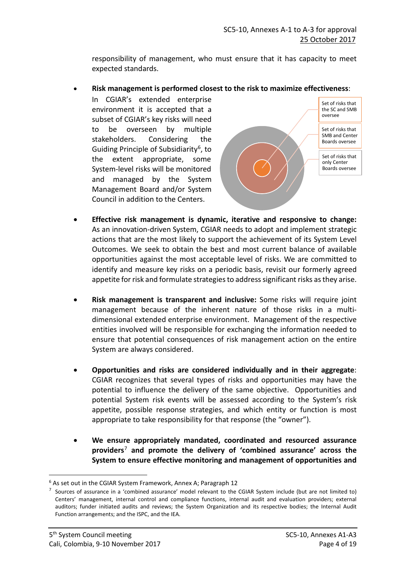responsibility of management, who must ensure that it has capacity to meet expected standards.

• **Risk management is performed closest to the risk to maximize effectiveness**:

In CGIAR's extended enterprise environment it is accepted that a subset of CGIAR's key risks will need to be overseen by multiple stakeholders. Considering the Guiding Principle of Subsidiarity<sup>6</sup>, to the extent appropriate, some System-level risks will be monitored and managed by the System Management Board and/or System Council in addition to the Centers.



- **Effective risk management is dynamic, iterative and responsive to change:**  As an innovation-driven System, CGIAR needs to adopt and implement strategic actions that are the most likely to support the achievement of its System Level Outcomes. We seek to obtain the best and most current balance of available opportunities against the most acceptable level of risks. We are committed to identify and measure key risks on a periodic basis, revisit our formerly agreed appetite forrisk and formulate strategies to address significant risks as they arise.
- **Risk management is transparent and inclusive:** Some risks will require joint management because of the inherent nature of those risks in a multidimensional extended enterprise environment. Management of the respective entities involved will be responsible for exchanging the information needed to ensure that potential consequences of risk management action on the entire System are always considered.
- **Opportunities and risks are considered individually and in their aggregate**: CGIAR recognizes that several types of risks and opportunities may have the potential to influence the delivery of the same objective. Opportunities and potential System risk events will be assessed according to the System's risk appetite, possible response strategies, and which entity or function is most appropriate to take responsibility for that response (the "owner").
- **We ensure appropriately mandated, coordinated and resourced assurance providers**[7](#page-3-1) **and promote the delivery of 'combined assurance' across the System to ensure effective monitoring and management of opportunities and**

<span id="page-3-0"></span> $6$  As set out in the CGIAR System Framework, Annex A; Paragraph 12

<span id="page-3-1"></span> $<sup>7</sup>$  Sources of assurance in a 'combined assurance' model relevant to the CGIAR System include (but are not limited to)</sup> Centers' management, internal control and compliance functions, internal audit and evaluation providers; external auditors; funder initiated audits and reviews; the System Organization and its respective bodies; the Internal Audit Function arrangements; and the ISPC, and the IEA.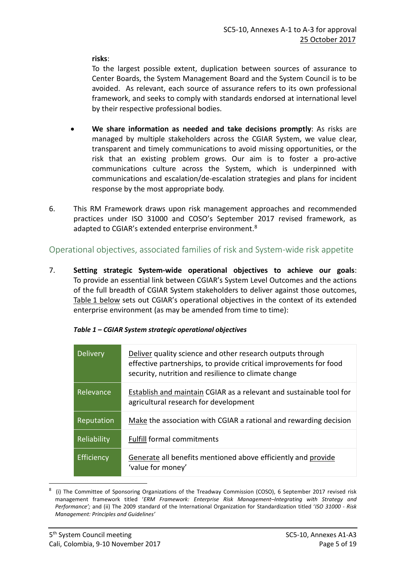**risks**:

To the largest possible extent, duplication between sources of assurance to Center Boards, the System Management Board and the System Council is to be avoided. As relevant, each source of assurance refers to its own professional framework, and seeks to comply with standards endorsed at international level by their respective professional bodies.

- **We share information as needed and take decisions promptly**: As risks are managed by multiple stakeholders across the CGIAR System, we value clear, transparent and timely communications to avoid missing opportunities, or the risk that an existing problem grows. Our aim is to foster a pro-active communications culture across the System, which is underpinned with communications and escalation/de-escalation strategies and plans for incident response by the most appropriate body.
- 6. This RM Framework draws upon risk management approaches and recommended practices under ISO 31000 and COSO's September 2017 revised framework, as adapted to CGIAR's extended enterprise environment.<sup>[8](#page-4-0)</sup>

# Operational objectives, associated families of risk and System-wide risk appetite

7. **Setting strategic System-wide operational objectives to achieve our goals**: To provide an essential link between CGIAR's System Level Outcomes and the actions of the full breadth of CGIAR System stakeholders to deliver against those outcomes, Table 1 below sets out CGIAR's operational objectives in the context of its extended enterprise environment (as may be amended from time to time):

| <b>Delivery</b> | Deliver quality science and other research outputs through<br>effective partnerships, to provide critical improvements for food<br>security, nutrition and resilience to climate change |
|-----------------|-----------------------------------------------------------------------------------------------------------------------------------------------------------------------------------------|
| Relevance       | Establish and maintain CGIAR as a relevant and sustainable tool for<br>agricultural research for development                                                                            |
| Reputation      | Make the association with CGIAR a rational and rewarding decision                                                                                                                       |
| Reliability     | <b>Fulfill formal commitments</b>                                                                                                                                                       |
| Efficiency      | Generate all benefits mentioned above efficiently and provide<br>'value for money'                                                                                                      |

#### *Table 1 – CGIAR System strategic operational objectives*

<span id="page-4-0"></span> <sup>8</sup> (i) The Committee of Sponsoring Organizations of the Treadway Commission (COSO), 6 September 2017 revised risk management framework titled '*ERM Framework: Enterprise Risk Management–Integrating with Strategy and Performance';* and (ii) The 2009 standard of the International Organization for Standardization titled '*ISO 31000 - Risk Management: Principles and Guidelines'*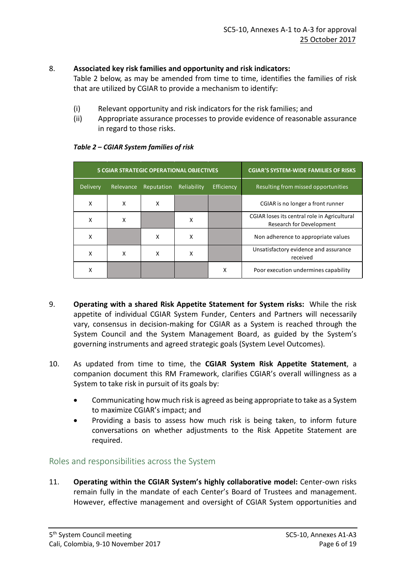#### 8. **Associated key risk families and opportunity and risk indicators:**

Table 2 below, as may be amended from time to time, identifies the families of risk that are utilized by CGIAR to provide a mechanism to identify:

- (i) Relevant opportunity and risk indicators for the risk families; and
- (ii) Appropriate assurance processes to provide evidence of reasonable assurance in regard to those risks.

| <b>5 CGIAR STRATEGIC OPERATIONAL OBJECTIVES</b> |           |            |             |            | <b>CGIAR'S SYSTEM-WIDE FAMILIES OF RISKS</b>                                    |
|-------------------------------------------------|-----------|------------|-------------|------------|---------------------------------------------------------------------------------|
| <b>Delivery</b>                                 | Relevance | Reputation | Reliability | Efficiency | Resulting from missed opportunities                                             |
| X                                               | X         | X          |             |            | CGIAR is no longer a front runner                                               |
| X                                               | x         |            | x           |            | CGIAR loses its central role in Agricultural<br><b>Research for Development</b> |
| x                                               |           | x          | x           |            | Non adherence to appropriate values                                             |
| χ                                               | x         | χ          | χ           |            | Unsatisfactory evidence and assurance<br>received                               |
| χ                                               |           |            |             | X          | Poor execution undermines capability                                            |

#### *Table 2 – CGIAR System families of risk*

- 9. **Operating with a shared Risk Appetite Statement for System risks:** While the risk appetite of individual CGIAR System Funder, Centers and Partners will necessarily vary, consensus in decision-making for CGIAR as a System is reached through the System Council and the System Management Board, as guided by the System's governing instruments and agreed strategic goals (System Level Outcomes).
- 10. As updated from time to time, the **CGIAR System Risk Appetite Statement**, a companion document this RM Framework, clarifies CGIAR's overall willingness as a System to take risk in pursuit of its goals by:
	- Communicating how much risk is agreed as being appropriate to take as a System to maximize CGIAR's impact; and
	- Providing a basis to assess how much risk is being taken, to inform future conversations on whether adjustments to the Risk Appetite Statement are required.

#### Roles and responsibilities across the System

11. **Operating within the CGIAR System's highly collaborative model:** Center-own risks remain fully in the mandate of each Center's Board of Trustees and management. However, effective management and oversight of CGIAR System opportunities and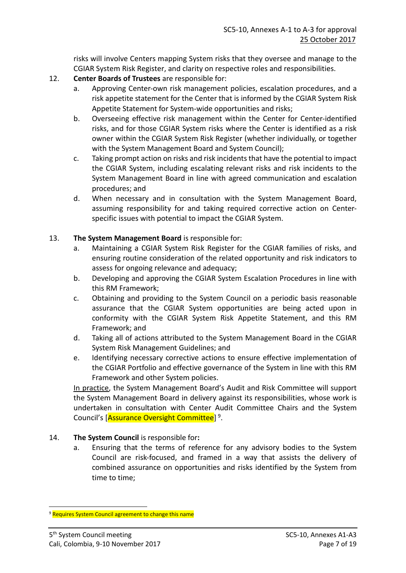risks will involve Centers mapping System risks that they oversee and manage to the CGIAR System Risk Register, and clarity on respective roles and responsibilities.

- 12. **Center Boards of Trustees** are responsible for:
	- a. Approving Center-own risk management policies, escalation procedures, and a risk appetite statement for the Center that is informed by the CGIAR System Risk Appetite Statement for System-wide opportunities and risks;
	- b. Overseeing effective risk management within the Center for Center-identified risks, and for those CGIAR System risks where the Center is identified as a risk owner within the CGIAR System Risk Register (whether individually, or together with the System Management Board and System Council);
	- c. Taking prompt action on risks and risk incidents that have the potential to impact the CGIAR System, including escalating relevant risks and risk incidents to the System Management Board in line with agreed communication and escalation procedures; and
	- d. When necessary and in consultation with the System Management Board, assuming responsibility for and taking required corrective action on Centerspecific issues with potential to impact the CGIAR System.

#### 13. **The System Management Board** is responsible for:

- a. Maintaining a CGIAR System Risk Register for the CGIAR families of risks, and ensuring routine consideration of the related opportunity and risk indicators to assess for ongoing relevance and adequacy;
- b. Developing and approving the CGIAR System Escalation Procedures in line with this RM Framework;
- c. Obtaining and providing to the System Council on a periodic basis reasonable assurance that the CGIAR System opportunities are being acted upon in conformity with the CGIAR System Risk Appetite Statement, and this RM Framework; and
- d. Taking all of actions attributed to the System Management Board in the CGIAR System Risk Management Guidelines; and
- e. Identifying necessary corrective actions to ensure effective implementation of the CGIAR Portfolio and effective governance of the System in line with this RM Framework and other System policies.

In practice, the System Management Board's Audit and Risk Committee will support the System Management Board in delivery against its responsibilities, whose work is undertaken in consultation with Center Audit Committee Chairs and the System Council's [Assurance Oversight Committee] [9](#page-6-0).

- 14. **The System Council** is responsible for**:**
	- a. Ensuring that the terms of reference for any advisory bodies to the System Council are risk-focused, and framed in a way that assists the delivery of combined assurance on opportunities and risks identified by the System from time to time;

<span id="page-6-0"></span><sup>&</sup>lt;sup>9</sup> Requires System Council agreement to change this name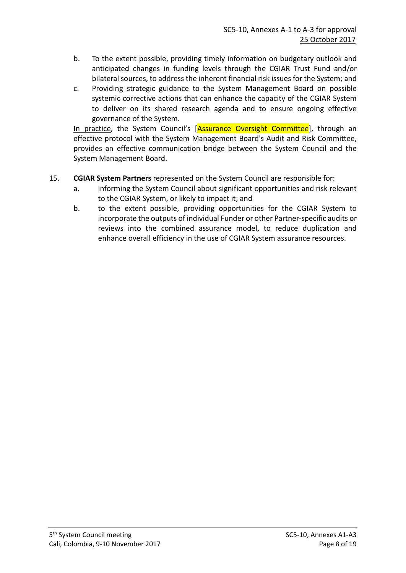- b. To the extent possible, providing timely information on budgetary outlook and anticipated changes in funding levels through the CGIAR Trust Fund and/or bilateral sources, to address the inherent financial risk issues for the System; and
- c. Providing strategic guidance to the System Management Board on possible systemic corrective actions that can enhance the capacity of the CGIAR System to deliver on its shared research agenda and to ensure ongoing effective governance of the System.

In practice, the System Council's [Assurance Oversight Committee], through an effective protocol with the System Management Board's Audit and Risk Committee, provides an effective communication bridge between the System Council and the System Management Board.

#### 15. **CGIAR System Partners** represented on the System Council are responsible for:

- a. informing the System Council about significant opportunities and risk relevant to the CGIAR System, or likely to impact it; and
- b. to the extent possible, providing opportunities for the CGIAR System to incorporate the outputs of individual Funder or other Partner-specific audits or reviews into the combined assurance model, to reduce duplication and enhance overall efficiency in the use of CGIAR System assurance resources.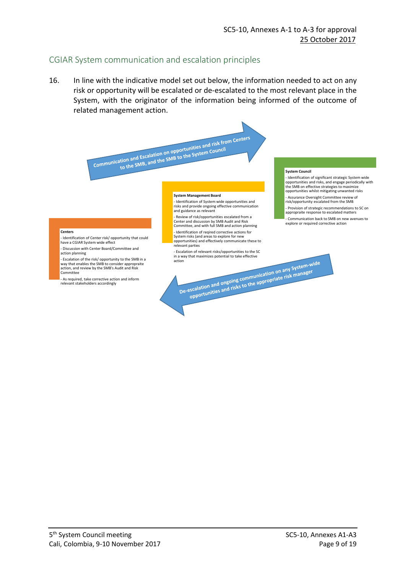#### CGIAR System communication and escalation principles

16. In line with the indicative model set out below, the information needed to act on any risk or opportunity will be escalated or de-escalated to the most relevant place in the System, with the originator of the information being informed of the outcome of related management action.

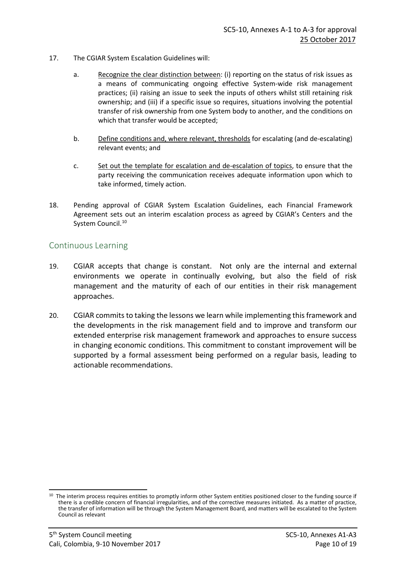- 17. The CGIAR System Escalation Guidelines will:
	- a. Recognize the clear distinction between: (i) reporting on the status of risk issues as a means of communicating ongoing effective System-wide risk management practices; (ii) raising an issue to seek the inputs of others whilst still retaining risk ownership; and (iii) if a specific issue so requires, situations involving the potential transfer of risk ownership from one System body to another, and the conditions on which that transfer would be accepted;
	- b. Define conditions and, where relevant, thresholds for escalating (and de-escalating) relevant events; and
	- c. Set out the template for escalation and de-escalation of topics, to ensure that the party receiving the communication receives adequate information upon which to take informed, timely action.
- 18. Pending approval of CGIAR System Escalation Guidelines, each Financial Framework Agreement sets out an interim escalation process as agreed by CGIAR's Centers and the System Council.<sup>[10](#page-9-0)</sup>

#### Continuous Learning

- 19. CGIAR accepts that change is constant. Not only are the internal and external environments we operate in continually evolving, but also the field of risk management and the maturity of each of our entities in their risk management approaches.
- 20. CGIAR commits to taking the lessons we learn while implementing this framework and the developments in the risk management field and to improve and transform our extended enterprise risk management framework and approaches to ensure success in changing economic conditions. This commitment to constant improvement will be supported by a formal assessment being performed on a regular basis, leading to actionable recommendations.

<span id="page-9-0"></span><sup>&</sup>lt;sup>10</sup> The interim process requires entities to promptly inform other System entities positioned closer to the funding source if there is a credible concern of financial irregularities, and of the corrective measures initiated. As a matter of practice, the transfer of information will be through the System Management Board, and matters will be escalated to the System Council as relevant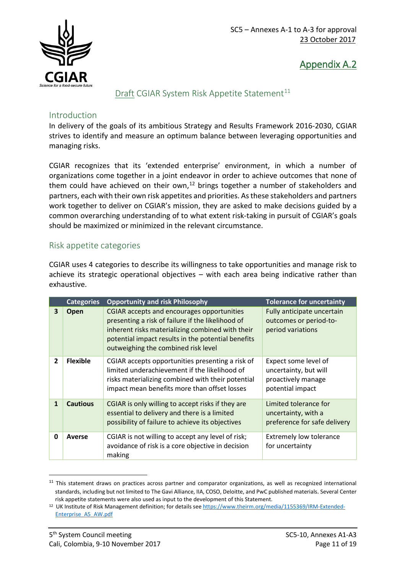



#### Draft CGIAR System Risk Appetite Statement<sup>[11](#page-10-0)</sup>

#### Introduction

In delivery of the goals of its ambitious Strategy and Results Framework 2016-2030, CGIAR strives to identify and measure an optimum balance between leveraging opportunities and managing risks.

CGIAR recognizes that its 'extended enterprise' environment, in which a number of organizations come together in a joint endeavor in order to achieve outcomes that none of them could have achieved on their own,<sup>[12](#page-10-1)</sup> brings together a number of stakeholders and partners, each with their own risk appetites and priorities. As these stakeholders and partners work together to deliver on CGIAR's mission, they are asked to make decisions guided by a common overarching understanding of to what extent risk-taking in pursuit of CGIAR's goals should be maximized or minimized in the relevant circumstance.

#### Risk appetite categories

CGIAR uses 4 categories to describe its willingness to take opportunities and manage risk to achieve its strategic operational objectives – with each area being indicative rather than exhaustive.

|                | <b>Categories</b> | <b>Opportunity and risk Philosophy</b>                                                                                                                                                                                                           | <b>Tolerance for uncertainty</b>                                                        |
|----------------|-------------------|--------------------------------------------------------------------------------------------------------------------------------------------------------------------------------------------------------------------------------------------------|-----------------------------------------------------------------------------------------|
| 3              | Open              | CGIAR accepts and encourages opportunities<br>presenting a risk of failure if the likelihood of<br>inherent risks materializing combined with their<br>potential impact results in the potential benefits<br>outweighing the combined risk level | Fully anticipate uncertain<br>outcomes or period-to-<br>period variations               |
| $\overline{2}$ | <b>Flexible</b>   | CGIAR accepts opportunities presenting a risk of<br>limited underachievement if the likelihood of<br>risks materializing combined with their potential<br>impact mean benefits more than offset losses                                           | Expect some level of<br>uncertainty, but will<br>proactively manage<br>potential impact |
| $\mathbf{1}$   | <b>Cautious</b>   | CGIAR is only willing to accept risks if they are<br>essential to delivery and there is a limited<br>possibility of failure to achieve its objectives                                                                                            | Limited tolerance for<br>uncertainty, with a<br>preference for safe delivery            |
| 0              | Averse            | CGIAR is not willing to accept any level of risk;<br>avoidance of risk is a core objective in decision<br>making                                                                                                                                 | <b>Extremely low tolerance</b><br>for uncertainty                                       |

<span id="page-10-0"></span> $11$  This statement draws on practices across partner and comparator organizations, as well as recognized international standards, including but not limited to The Gavi Alliance, IIA, COSO, Deloitte, and PwC published materials. Several Center

<span id="page-10-1"></span>risk appetite statements were also used as input to the development of this Statement.<br><sup>12</sup> UK Institute of Risk Management definition; for details see [https://www.theirm.org/media/1155369/IRM-Extended-](https://www.theirm.org/media/1155369/IRM-Extended-Enterprise_A5_AW.pdf)[Enterprise\\_A5\\_AW.pdf](https://www.theirm.org/media/1155369/IRM-Extended-Enterprise_A5_AW.pdf)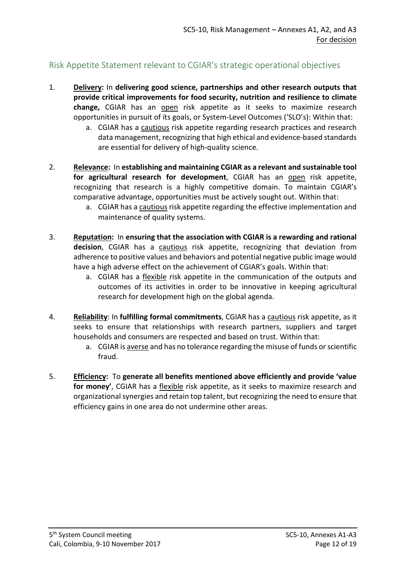## Risk Appetite Statement relevant to CGIAR's strategic operational objectives

- 1. **Delivery:** In **delivering good science, partnerships and other research outputs that provide critical improvements for food security, nutrition and resilience to climate change,** CGIAR has an open risk appetite as it seeks to maximize research opportunities in pursuit of its goals, or System-Level Outcomes ('SLO's): Within that:
	- a. CGIAR has a cautious risk appetite regarding research practices and research data management, recognizing that high ethical and evidence-based standards are essential for delivery of high-quality science.
- 2. **Relevance:** In **establishing and maintaining CGIAR as a relevant and sustainable tool for agricultural research for development**, CGIAR has an open risk appetite, recognizing that research is a highly competitive domain. To maintain CGIAR's comparative advantage, opportunities must be actively sought out. Within that:
	- a. CGIAR has a cautious risk appetite regarding the effective implementation and maintenance of quality systems.
- 3. **Reputation:** In **ensuring that the association with CGIAR is a rewarding and rational decision**, CGIAR has a cautious risk appetite, recognizing that deviation from adherence to positive values and behaviors and potential negative public image would have a high adverse effect on the achievement of CGIAR's goals. Within that:
	- a. CGIAR has a flexible risk appetite in the communication of the outputs and outcomes of its activities in order to be innovative in keeping agricultural research for development high on the global agenda.
- 4. **Reliability**: In **fulfilling formal commitments**, CGIAR has a cautious risk appetite, as it seeks to ensure that relationships with research partners, suppliers and target households and consumers are respected and based on trust. Within that:
	- a. CGIAR is averse and has no tolerance regarding the misuse of funds or scientific fraud.
- 5. **Efficiency:** To **generate all benefits mentioned above efficiently and provide 'value for money'**, CGIAR has a flexible risk appetite, as it seeks to maximize research and organizational synergies and retain top talent, but recognizing the need to ensure that efficiency gains in one area do not undermine other areas.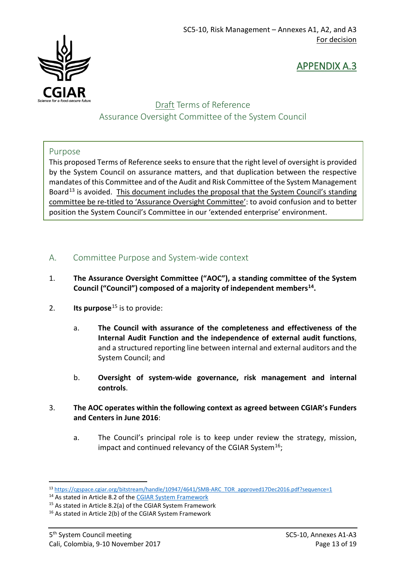

# APPENDIX A.3

# Draft Terms of Reference Assurance Oversight Committee of the System Council

#### Purpose

This proposed Terms of Reference seeks to ensure that the right level of oversight is provided by the System Council on assurance matters, and that duplication between the respective mandates of this Committee and of the Audit and Risk Committee of the System Management Board<sup>[13](#page-12-0)</sup> is avoided. This document includes the proposal that the System Council's standing committee be re-titled to 'Assurance Oversight Committee': to avoid confusion and to better position the System Council's Committee in our 'extended enterprise' environment.

## A. Committee Purpose and System-wide context

- 1. **The Assurance Oversight Committee ("AOC"), a standing committee of the System Council ("Council") composed of a majority of independent member[s14.](#page-12-1)**
- 2. **Its purpose**[15](#page-12-2) is to provide:
	- a. **The Council with assurance of the completeness and effectiveness of the Internal Audit Function and the independence of external audit functions**, and a structured reporting line between internal and external auditors and the System Council; and
	- b. **Oversight of system-wide governance, risk management and internal controls**.
- 3. **The AOC operates within the following context as agreed between CGIAR's Funders and Centers in June 2016**:
	- a. The Council's principal role is to keep under review the strategy, mission, impact and continued relevancy of the CGIAR System<sup>16</sup>;

<span id="page-12-0"></span> <sup>13</sup> [https://cgspace.cgiar.org/bitstream/handle/10947/4641/SMB-ARC\\_TOR\\_approved17Dec2016.pdf?sequence=1](https://cgspace.cgiar.org/bitstream/handle/10947/4641/SMB-ARC_TOR_approved17Dec2016.pdf?sequence=1)

<span id="page-12-1"></span><sup>14</sup> As stated in Article 8.2 of th[e CGIAR System Framework](http://library.cgiar.org/bitstream/handle/10947/4371/CGIAR%20System%20Framework%20-%20WEB.pdf?sequence=4)

<span id="page-12-2"></span><sup>15</sup> As stated in Article 8.2(a) of the CGIAR System Framework

<span id="page-12-3"></span><sup>16</sup> As stated in Article 2(b) of the CGIAR System Framework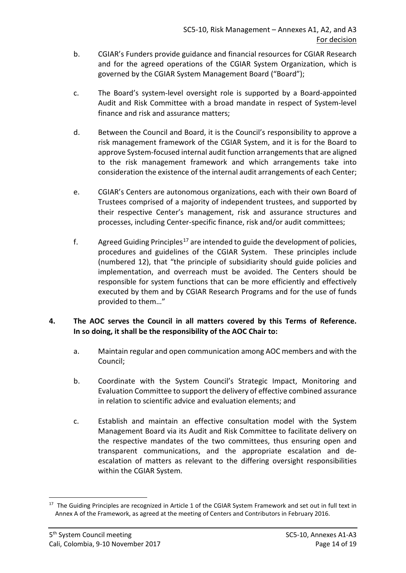- b. CGIAR's Funders provide guidance and financial resources for CGIAR Research and for the agreed operations of the CGIAR System Organization, which is governed by the CGIAR System Management Board ("Board");
- c. The Board's system-level oversight role is supported by a Board-appointed Audit and Risk Committee with a broad mandate in respect of System-level finance and risk and assurance matters;
- d. Between the Council and Board, it is the Council's responsibility to approve a risk management framework of the CGIAR System, and it is for the Board to approve System-focused internal audit function arrangements that are aligned to the risk management framework and which arrangements take into consideration the existence of the internal audit arrangements of each Center;
- e. CGIAR's Centers are autonomous organizations, each with their own Board of Trustees comprised of a majority of independent trustees, and supported by their respective Center's management, risk and assurance structures and processes, including Center-specific finance, risk and/or audit committees;
- f. Agreed Guiding Principles<sup>[17](#page-13-0)</sup> are intended to guide the development of policies, procedures and guidelines of the CGIAR System. These principles include (numbered 12), that "the principle of subsidiarity should guide policies and implementation, and overreach must be avoided. The Centers should be responsible for system functions that can be more efficiently and effectively executed by them and by CGIAR Research Programs and for the use of funds provided to them…"

#### **4. The AOC serves the Council in all matters covered by this Terms of Reference. In so doing, it shall be the responsibility of the AOC Chair to:**

- a. Maintain regular and open communication among AOC members and with the Council;
- b. Coordinate with the System Council's Strategic Impact, Monitoring and Evaluation Committee to support the delivery of effective combined assurance in relation to scientific advice and evaluation elements; and
- c. Establish and maintain an effective consultation model with the System Management Board via its Audit and Risk Committee to facilitate delivery on the respective mandates of the two committees, thus ensuring open and transparent communications, and the appropriate escalation and deescalation of matters as relevant to the differing oversight responsibilities within the CGIAR System.

<span id="page-13-0"></span><sup>&</sup>lt;sup>17</sup> The Guiding Principles are recognized in Article 1 of the CGIAR System Framework and set out in full text in Annex A of the Framework, as agreed at the meeting of Centers and Contributors in February 2016.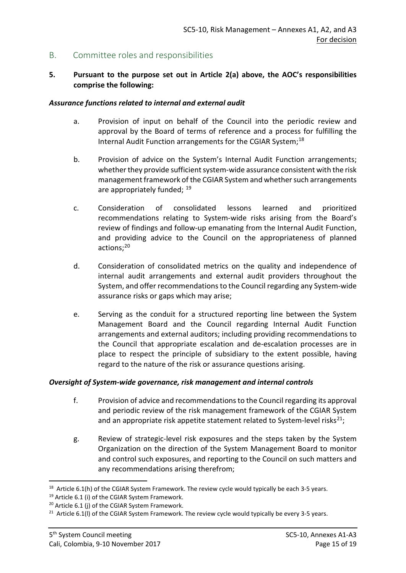#### B. Committee roles and responsibilities

#### **5. Pursuant to the purpose set out in Article 2(a) above, the AOC's responsibilities comprise the following:**

#### *Assurance functions related to internal and external audit*

- a. Provision of input on behalf of the Council into the periodic review and approval by the Board of terms of reference and a process for fulfilling the Internal Audit Function arrangements for the CGIAR System;<sup>[18](#page-14-0)</sup>
- b. Provision of advice on the System's Internal Audit Function arrangements; whether they provide sufficient system-wide assurance consistent with the risk management framework of the CGIAR System and whether such arrangements are appropriately funded; <sup>[19](#page-14-1)</sup>
- c. Consideration of consolidated lessons learned and prioritized recommendations relating to System-wide risks arising from the Board's review of findings and follow-up emanating from the Internal Audit Function, and providing advice to the Council on the appropriateness of planned actions;<sup>[20](#page-14-2)</sup>
- d. Consideration of consolidated metrics on the quality and independence of internal audit arrangements and external audit providers throughout the System, and offer recommendations to the Council regarding any System-wide assurance risks or gaps which may arise;
- e. Serving as the conduit for a structured reporting line between the System Management Board and the Council regarding Internal Audit Function arrangements and external auditors; including providing recommendations to the Council that appropriate escalation and de-escalation processes are in place to respect the principle of subsidiary to the extent possible, having regard to the nature of the risk or assurance questions arising.

#### *Oversight of System-wide governance, risk management and internal controls*

- f. Provision of advice and recommendations to the Council regarding its approval and periodic review of the risk management framework of the CGIAR System and an appropriate risk appetite statement related to System-level risks<sup>21</sup>;
- g. Review of strategic-level risk exposures and the steps taken by the System Organization on the direction of the System Management Board to monitor and control such exposures, and reporting to the Council on such matters and any recommendations arising therefrom;

<span id="page-14-0"></span><sup>&</sup>lt;sup>18</sup> Article 6.1(h) of the CGIAR System Framework. The review cycle would typically be each 3-5 years.

<span id="page-14-1"></span><sup>&</sup>lt;sup>19</sup> Article 6.1 (i) of the CGIAR System Framework.

<span id="page-14-2"></span><sup>&</sup>lt;sup>20</sup> Article 6.1 (j) of the CGIAR System Framework.

<span id="page-14-3"></span> $21$  Article 6.1(I) of the CGIAR System Framework. The review cycle would typically be every 3-5 years.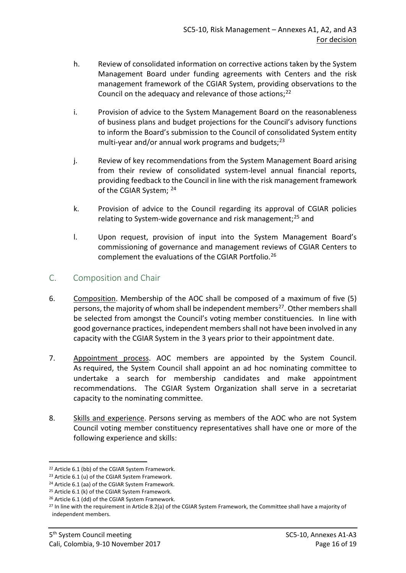- h. Review of consolidated information on corrective actions taken by the System Management Board under funding agreements with Centers and the risk management framework of the CGIAR System, providing observations to the Council on the adequacy and relevance of those actions:<sup>[22](#page-15-0)</sup>
- i. Provision of advice to the System Management Board on the reasonableness of business plans and budget projections for the Council's advisory functions to inform the Board's submission to the Council of consolidated System entity multi-year and/or annual work programs and budgets; $^{23}$  $^{23}$  $^{23}$
- j. Review of key recommendations from the System Management Board arising from their review of consolidated system-level annual financial reports, providing feedback to the Council in line with the risk management framework of the CGIAR System; [24](#page-15-2)
- k. Provision of advice to the Council regarding its approval of CGIAR policies relating to System-wide governance and risk management; $^{25}$  and
- l. Upon request, provision of input into the System Management Board's commissioning of governance and management reviews of CGIAR Centers to complement the evaluations of the CGIAR Portfolio.<sup>[26](#page-15-4)</sup>

## C. Composition and Chair

- 6. Composition. Membership of the AOC shall be composed of a maximum of five (5) persons, the majority of whom shall be independent members<sup>[27](#page-15-5)</sup>. Other members shall be selected from amongst the Council's voting member constituencies. In line with good governance practices, independent members shall not have been involved in any capacity with the CGIAR System in the 3 years prior to their appointment date.
- 7. Appointment process. AOC members are appointed by the System Council. As required, the System Council shall appoint an ad hoc nominating committee to undertake a search for membership candidates and make appointment recommendations. The CGIAR System Organization shall serve in a secretariat capacity to the nominating committee.
- 8. Skills and experience. Persons serving as members of the AOC who are not System Council voting member constituency representatives shall have one or more of the following experience and skills:

<span id="page-15-0"></span> <sup>22</sup> Article 6.1 (bb) of the CGIAR System Framework.

<span id="page-15-1"></span><sup>&</sup>lt;sup>23</sup> Article 6.1 (u) of the CGIAR System Framework.

<span id="page-15-2"></span><sup>24</sup> Article 6.1 (aa) of the CGIAR System Framework.

<span id="page-15-3"></span><sup>&</sup>lt;sup>25</sup> Article 6.1 (k) of the CGIAR System Framework.

<span id="page-15-4"></span><sup>&</sup>lt;sup>26</sup> Article 6.1 (dd) of the CGIAR System Framework.

<span id="page-15-5"></span><sup>&</sup>lt;sup>27</sup> In line with the requirement in Article 8.2(a) of the CGIAR System Framework, the Committee shall have a majority of independent members.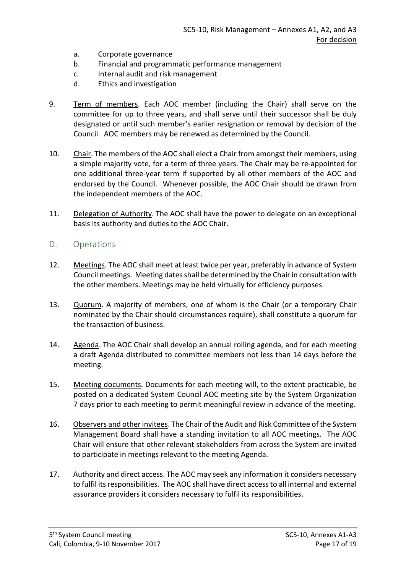- a. Corporate governance
- b. Financial and programmatic performance management
- c. Internal audit and risk management
- d. Ethics and investigation
- 9. Term of members. Each AOC member (including the Chair) shall serve on the committee for up to three years, and shall serve until their successor shall be duly designated or until such member's earlier resignation or removal by decision of the Council. AOC members may be renewed as determined by the Council.
- 10. Chair. The members of the AOC shall elect a Chair from amongst their members, using a simple majority vote, for a term of three years. The Chair may be re-appointed for one additional three-year term if supported by all other members of the AOC and endorsed by the Council. Whenever possible, the AOC Chair should be drawn from the independent members of the AOC.
- 11. Delegation of Authority. The AOC shall have the power to delegate on an exceptional basis its authority and duties to the AOC Chair.

#### D. Operations

- 12. Meetings. The AOC shall meet at least twice per year, preferably in advance of System Council meetings. Meeting dates shall be determined by the Chair in consultation with the other members. Meetings may be held virtually for efficiency purposes.
- 13. Quorum. A majority of members, one of whom is the Chair (or a temporary Chair nominated by the Chair should circumstances require), shall constitute a quorum for the transaction of business.
- 14. Agenda. The AOC Chair shall develop an annual rolling agenda, and for each meeting a draft Agenda distributed to committee members not less than 14 days before the meeting.
- 15. Meeting documents. Documents for each meeting will, to the extent practicable, be posted on a dedicated System Council AOC meeting site by the System Organization 7 days prior to each meeting to permit meaningful review in advance of the meeting.
- 16. Observers and other invitees. The Chair of the Audit and Risk Committee of the System Management Board shall have a standing invitation to all AOC meetings. The AOC Chair will ensure that other relevant stakeholders from across the System are invited to participate in meetings relevant to the meeting Agenda.
- 17. Authority and direct access. The AOC may seek any information it considers necessary to fulfil its responsibilities. The AOC shall have direct access to all internal and external assurance providers it considers necessary to fulfil its responsibilities.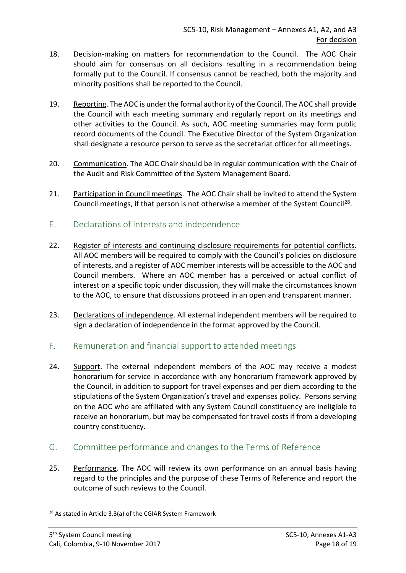- 18. Decision-making on matters for recommendation to the Council. The AOC Chair should aim for consensus on all decisions resulting in a recommendation being formally put to the Council. If consensus cannot be reached, both the majority and minority positions shall be reported to the Council.
- 19. Reporting. The AOC is under the formal authority of the Council. The AOC shall provide the Council with each meeting summary and regularly report on its meetings and other activities to the Council. As such, AOC meeting summaries may form public record documents of the Council. The Executive Director of the System Organization shall designate a resource person to serve as the secretariat officer for all meetings.
- 20. Communication. The AOC Chair should be in regular communication with the Chair of the Audit and Risk Committee of the System Management Board.
- 21. Participation in Council meetings. The AOC Chair shall be invited to attend the System Council meetings, if that person is not otherwise a member of the System Council[28.](#page-17-0)
- E. Declarations of interests and independence
- 22. Register of interests and continuing disclosure requirements for potential conflicts. All AOC members will be required to comply with the Council's policies on disclosure of interests, and a register of AOC member interests will be accessible to the AOC and Council members. Where an AOC member has a perceived or actual conflict of interest on a specific topic under discussion, they will make the circumstances known to the AOC, to ensure that discussions proceed in an open and transparent manner.
- 23. Declarations of independence. All external independent members will be required to sign a declaration of independence in the format approved by the Council.
- F. Remuneration and financial support to attended meetings
- 24. Support. The external independent members of the AOC may receive a modest honorarium for service in accordance with any honorarium framework approved by the Council, in addition to support for travel expenses and per diem according to the stipulations of the System Organization's travel and expenses policy. Persons serving on the AOC who are affiliated with any System Council constituency are ineligible to receive an honorarium, but may be compensated for travel costs if from a developing country constituency.
- G. Committee performance and changes to the Terms of Reference
- 25. Performance. The AOC will review its own performance on an annual basis having regard to the principles and the purpose of these Terms of Reference and report the outcome of such reviews to the Council.

<span id="page-17-0"></span><sup>&</sup>lt;sup>28</sup> As stated in Article 3.3(a) of the CGIAR System Framework